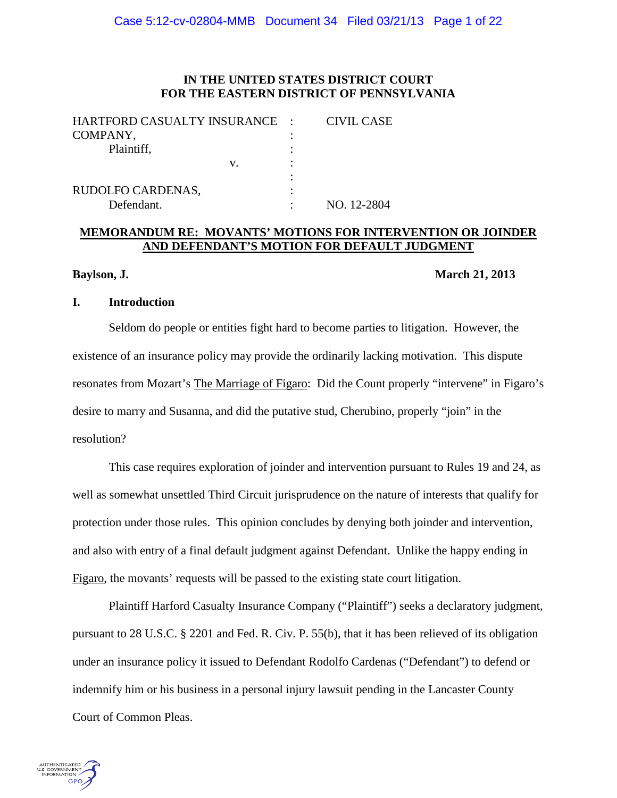## **IN THE UNITED STATES DISTRICT COURT FOR THE EASTERN DISTRICT OF PENNSYLVANIA**

| HARTFORD CASUALTY INSURANCE : |   | <b>CIVIL CASE</b> |
|-------------------------------|---|-------------------|
| COMPANY,                      |   |                   |
| Plaintiff,                    |   |                   |
| V.                            |   |                   |
|                               |   |                   |
| RUDOLFO CARDENAS,             | ٠ |                   |
| Defendant.                    |   | NO. 12-2804       |

# **MEMORANDUM RE: MOVANTS' MOTIONS FOR INTERVENTION OR JOINDER AND DEFENDANT'S MOTION FOR DEFAULT JUDGMENT**

#### **Baylson, J. March 21, 2013**

## **I. Introduction**

Seldom do people or entities fight hard to become parties to litigation. However, the existence of an insurance policy may provide the ordinarily lacking motivation. This dispute resonates from Mozart's The Marriage of Figaro: Did the Count properly "intervene" in Figaro's desire to marry and Susanna, and did the putative stud, Cherubino, properly "join" in the resolution?

This case requires exploration of joinder and intervention pursuant to Rules 19 and 24, as well as somewhat unsettled Third Circuit jurisprudence on the nature of interests that qualify for protection under those rules. This opinion concludes by denying both joinder and intervention, and also with entry of a final default judgment against Defendant. Unlike the happy ending in Figaro, the movants' requests will be passed to the existing state court litigation.

Plaintiff Harford Casualty Insurance Company ("Plaintiff") seeks a declaratory judgment, pursuant to 28 U.S.C. § 2201 and Fed. R. Civ. P. 55(b), that it has been relieved of its obligation under an insurance policy it issued to Defendant Rodolfo Cardenas ("Defendant") to defend or indemnify him or his business in a personal injury lawsuit pending in the Lancaster County Court of Common Pleas.

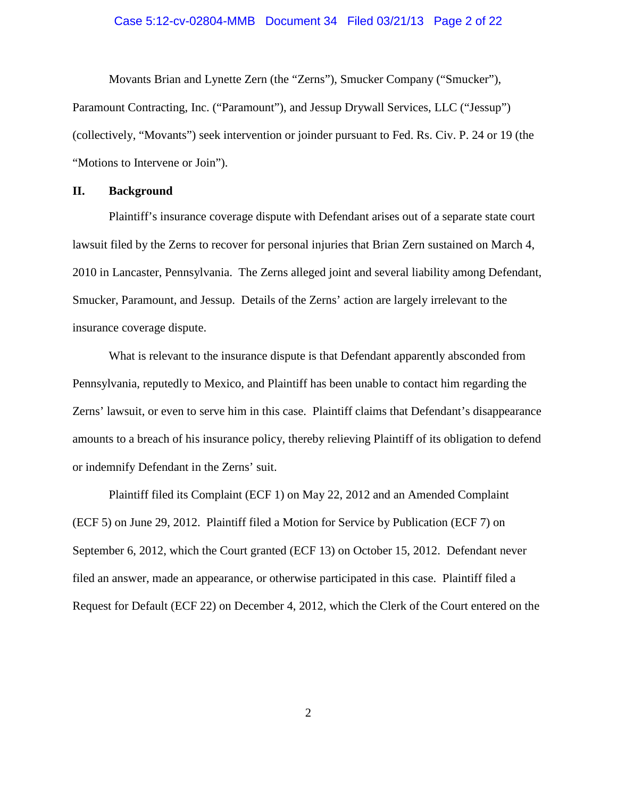#### Case 5:12-cv-02804-MMB Document 34 Filed 03/21/13 Page 2 of 22

Movants Brian and Lynette Zern (the "Zerns"), Smucker Company ("Smucker"), Paramount Contracting, Inc. ("Paramount"), and Jessup Drywall Services, LLC ("Jessup") (collectively, "Movants") seek intervention or joinder pursuant to Fed. Rs. Civ. P. 24 or 19 (the "Motions to Intervene or Join").

## **II. Background**

Plaintiff's insurance coverage dispute with Defendant arises out of a separate state court lawsuit filed by the Zerns to recover for personal injuries that Brian Zern sustained on March 4, 2010 in Lancaster, Pennsylvania. The Zerns alleged joint and several liability among Defendant, Smucker, Paramount, and Jessup. Details of the Zerns' action are largely irrelevant to the insurance coverage dispute.

What is relevant to the insurance dispute is that Defendant apparently absconded from Pennsylvania, reputedly to Mexico, and Plaintiff has been unable to contact him regarding the Zerns' lawsuit, or even to serve him in this case. Plaintiff claims that Defendant's disappearance amounts to a breach of his insurance policy, thereby relieving Plaintiff of its obligation to defend or indemnify Defendant in the Zerns' suit.

Plaintiff filed its Complaint (ECF 1) on May 22, 2012 and an Amended Complaint (ECF 5) on June 29, 2012. Plaintiff filed a Motion for Service by Publication (ECF 7) on September 6, 2012, which the Court granted (ECF 13) on October 15, 2012. Defendant never filed an answer, made an appearance, or otherwise participated in this case. Plaintiff filed a Request for Default (ECF 22) on December 4, 2012, which the Clerk of the Court entered on the

2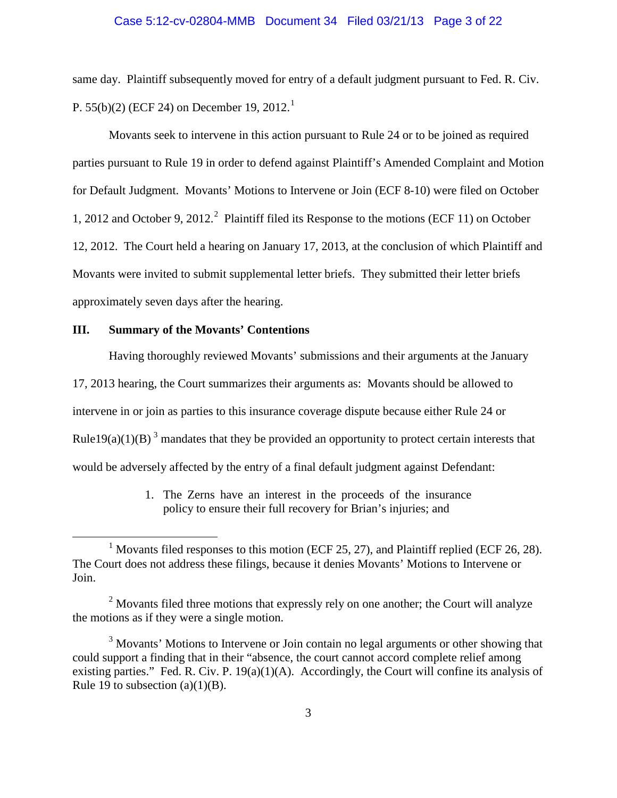#### Case 5:12-cv-02804-MMB Document 34 Filed 03/21/13 Page 3 of 22

same day. Plaintiff subsequently moved for entry of a default judgment pursuant to Fed. R. Civ. P. 55(b)(2) (ECF 24) on December [1](#page-2-0)9, 2012.<sup>1</sup>

Movants seek to intervene in this action pursuant to Rule 24 or to be joined as required parties pursuant to Rule 19 in order to defend against Plaintiff's Amended Complaint and Motion for Default Judgment. Movants' Motions to Intervene or Join (ECF 8-10) were filed on October 1, [2](#page-2-1)012 and October 9, 2012.<sup>2</sup> Plaintiff filed its Response to the motions (ECF 11) on October 12, 2012. The Court held a hearing on January 17, 2013, at the conclusion of which Plaintiff and Movants were invited to submit supplemental letter briefs. They submitted their letter briefs approximately seven days after the hearing.

# **III. Summary of the Movants' Contentions**

Having thoroughly reviewed Movants' submissions and their arguments at the January

17, 2013 hearing, the Court summarizes their arguments as: Movants should be allowed to

intervene in or join as parties to this insurance coverage dispute because either Rule 24 or

Rule19(a)(1)(B)<sup>[3](#page-2-2)</sup> mandates that they be provided an opportunity to protect certain interests that

would be adversely affected by the entry of a final default judgment against Defendant:

1. The Zerns have an interest in the proceeds of the insurance policy to ensure their full recovery for Brian's injuries; and

<span id="page-2-0"></span><sup>&</sup>lt;sup>1</sup> Movants filed responses to this motion (ECF 25, 27), and Plaintiff replied (ECF 26, 28). The Court does not address these filings, because it denies Movants' Motions to Intervene or Join.

<span id="page-2-1"></span> $2$  Movants filed three motions that expressly rely on one another; the Court will analyze the motions as if they were a single motion.

<span id="page-2-2"></span> $3$  Movants' Motions to Intervene or Join contain no legal arguments or other showing that could support a finding that in their "absence, the court cannot accord complete relief among existing parties." Fed. R. Civ. P.  $19(a)(1)(A)$ . Accordingly, the Court will confine its analysis of Rule 19 to subsection  $(a)(1)(B)$ .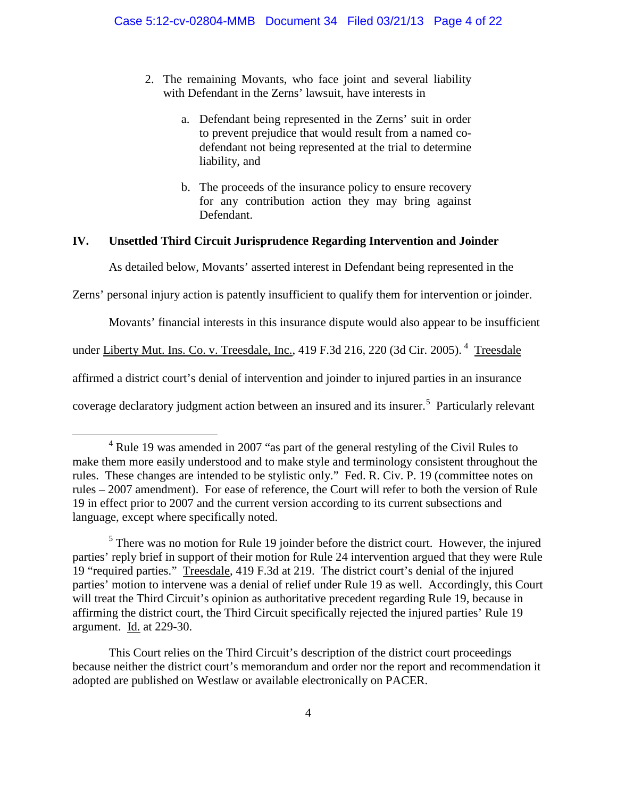- 2. The remaining Movants, who face joint and several liability with Defendant in the Zerns' lawsuit, have interests in
	- a. Defendant being represented in the Zerns' suit in order to prevent prejudice that would result from a named codefendant not being represented at the trial to determine liability, and
	- b. The proceeds of the insurance policy to ensure recovery for any contribution action they may bring against Defendant.

# **IV. Unsettled Third Circuit Jurisprudence Regarding Intervention and Joinder**

As detailed below, Movants' asserted interest in Defendant being represented in the

Zerns' personal injury action is patently insufficient to qualify them for intervention or joinder.

Movants' financial interests in this insurance dispute would also appear to be insufficient

under <u>Liberty Mut. Ins. Co. v. Treesdale, Inc.</u>, [4](#page-3-0)19 F.3d 216, 220 (3d Cir. 2005). <sup>4</sup> <u>Treesdale</u>

affirmed a district court's denial of intervention and joinder to injured parties in an insurance

coverage declaratory judgment action between an insured and its insurer. [5](#page-3-1) Particularly relevant

This Court relies on the Third Circuit's description of the district court proceedings because neither the district court's memorandum and order nor the report and recommendation it adopted are published on Westlaw or available electronically on PACER.

<span id="page-3-0"></span><sup>&</sup>lt;sup>4</sup> Rule 19 was amended in 2007 "as part of the general restyling of the Civil Rules to make them more easily understood and to make style and terminology consistent throughout the rules. These changes are intended to be stylistic only." Fed. R. Civ. P. 19 (committee notes on rules – 2007 amendment). For ease of reference, the Court will refer to both the version of Rule 19 in effect prior to 2007 and the current version according to its current subsections and language, except where specifically noted.

<span id="page-3-1"></span> $<sup>5</sup>$  There was no motion for Rule 19 joinder before the district court. However, the injured</sup> parties' reply brief in support of their motion for Rule 24 intervention argued that they were Rule 19 "required parties." Treesdale, 419 F.3d at 219. The district court's denial of the injured parties' motion to intervene was a denial of relief under Rule 19 as well. Accordingly, this Court will treat the Third Circuit's opinion as authoritative precedent regarding Rule 19, because in affirming the district court, the Third Circuit specifically rejected the injured parties' Rule 19 argument. Id. at 229-30.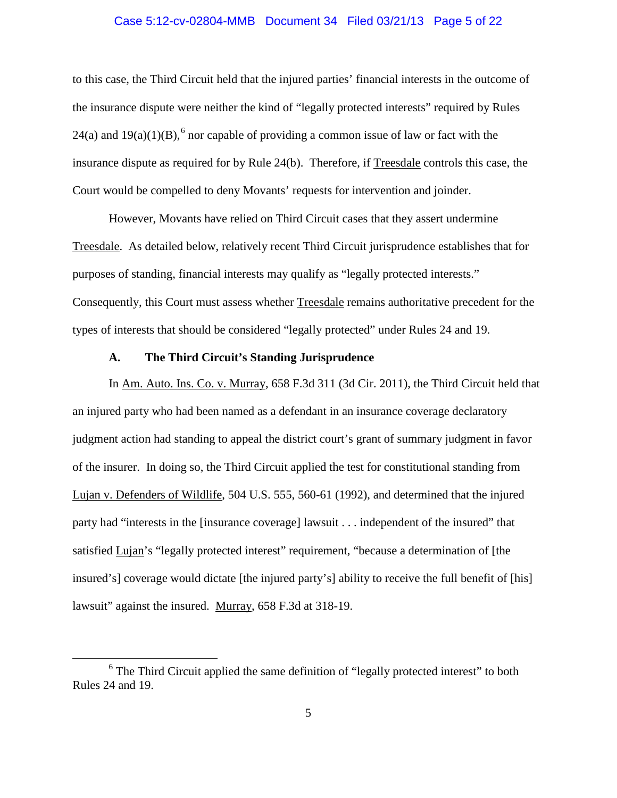#### Case 5:12-cv-02804-MMB Document 34 Filed 03/21/13 Page 5 of 22

to this case, the Third Circuit held that the injured parties' financial interests in the outcome of the insurance dispute were neither the kind of "legally protected interests" required by Rules 24(a) and  $19(a)(1)(B)$ , <sup>[6](#page-4-0)</sup> nor capable of providing a common issue of law or fact with the insurance dispute as required for by Rule 24(b). Therefore, if Treesdale controls this case, the Court would be compelled to deny Movants' requests for intervention and joinder.

However, Movants have relied on Third Circuit cases that they assert undermine Treesdale. As detailed below, relatively recent Third Circuit jurisprudence establishes that for purposes of standing, financial interests may qualify as "legally protected interests." Consequently, this Court must assess whether Treesdale remains authoritative precedent for the types of interests that should be considered "legally protected" under Rules 24 and 19.

# **A. The Third Circuit's Standing Jurisprudence**

In Am. Auto. Ins. Co. v. Murray, 658 F.3d 311 (3d Cir. 2011), the Third Circuit held that an injured party who had been named as a defendant in an insurance coverage declaratory judgment action had standing to appeal the district court's grant of summary judgment in favor of the insurer. In doing so, the Third Circuit applied the test for constitutional standing from Lujan v. Defenders of Wildlife, 504 U.S. 555, 560-61 (1992), and determined that the injured party had "interests in the [insurance coverage] lawsuit . . . independent of the insured" that satisfied Lujan's "legally protected interest" requirement, "because a determination of [the insured's] coverage would dictate [the injured party's] ability to receive the full benefit of [his] lawsuit" against the insured. Murray, 658 F.3d at 318-19.

<span id="page-4-0"></span><sup>&</sup>lt;sup>6</sup> The Third Circuit applied the same definition of "legally protected interest" to both Rules 24 and 19.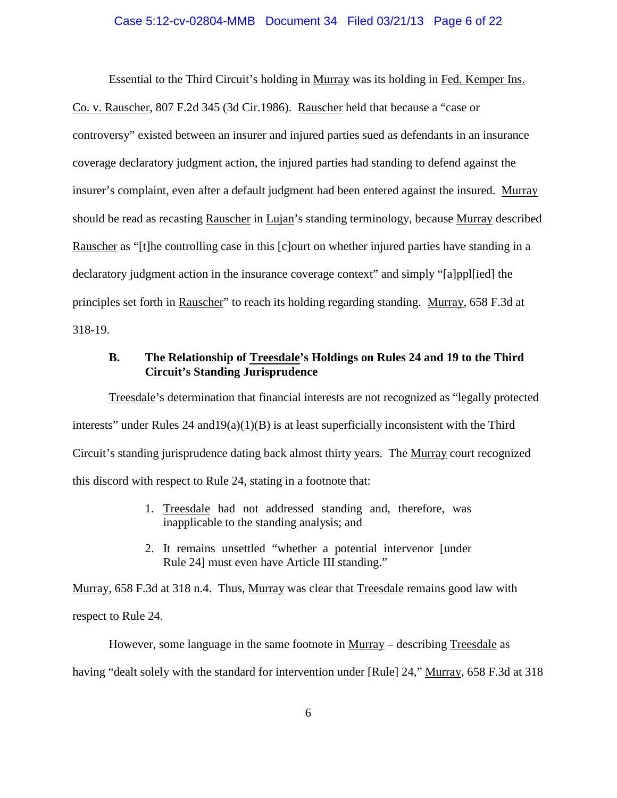#### Case 5:12-cv-02804-MMB Document 34 Filed 03/21/13 Page 6 of 22

Essential to the Third Circuit's holding in Murray was its holding in Fed. Kemper Ins. Co. v. Rauscher, 807 F.2d 345 (3d Cir.1986). Rauscher held that because a "case or controversy" existed between an insurer and injured parties sued as defendants in an insurance coverage declaratory judgment action, the injured parties had standing to defend against the insurer's complaint, even after a default judgment had been entered against the insured. Murray should be read as recasting Rauscher in Lujan's standing terminology, because Murray described Rauscher as "[t]he controlling case in this [c]ourt on whether injured parties have standing in a declaratory judgment action in the insurance coverage context" and simply "[a]ppl[ied] the principles set forth in Rauscher" to reach its holding regarding standing. Murray, 658 F.3d at 318-19.

# **B. The Relationship of Treesdale's Holdings on Rules 24 and 19 to the Third Circuit's Standing Jurisprudence**

Treesdale's determination that financial interests are not recognized as "legally protected interests" under Rules  $24$  and  $19(a)(1)(B)$  is at least superficially inconsistent with the Third Circuit's standing jurisprudence dating back almost thirty years. The Murray court recognized this discord with respect to Rule 24, stating in a footnote that:

- 1. Treesdale had not addressed standing and, therefore, was inapplicable to the standing analysis; and
- 2. It remains unsettled "whether a potential intervenor [under Rule 24] must even have Article III standing."

Murray, 658 F.3d at 318 n.4. Thus, Murray was clear that Treesdale remains good law with respect to Rule 24.

However, some language in the same footnote in Murray – describing Treesdale as having "dealt solely with the standard for intervention under [Rule] 24," Murray, 658 F.3d at 318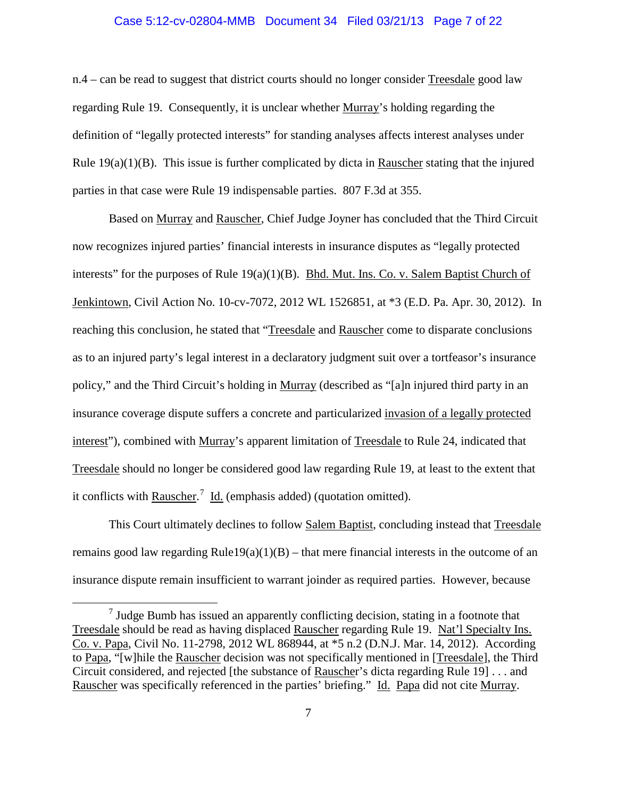#### Case 5:12-cv-02804-MMB Document 34 Filed 03/21/13 Page 7 of 22

n.4 – can be read to suggest that district courts should no longer consider Treesdale good law regarding Rule 19. Consequently, it is unclear whether Murray's holding regarding the definition of "legally protected interests" for standing analyses affects interest analyses under Rule  $19(a)(1)(B)$ . This issue is further complicated by dicta in Rauscher stating that the injured parties in that case were Rule 19 indispensable parties. 807 F.3d at 355.

Based on Murray and Rauscher, Chief Judge Joyner has concluded that the Third Circuit now recognizes injured parties' financial interests in insurance disputes as "legally protected interests" for the purposes of Rule  $19(a)(1)(B)$ . Bhd. Mut. Ins. Co. v. Salem Baptist Church of Jenkintown, Civil Action No. 10-cv-7072, 2012 WL 1526851, at \*3 (E.D. Pa. Apr. 30, 2012). In reaching this conclusion, he stated that "Treesdale and Rauscher come to disparate conclusions as to an injured party's legal interest in a declaratory judgment suit over a tortfeasor's insurance policy," and the Third Circuit's holding in Murray (described as "[a]n injured third party in an insurance coverage dispute suffers a concrete and particularized invasion of a legally protected interest"), combined with Murray's apparent limitation of Treesdale to Rule 24, indicated that Treesdale should no longer be considered good law regarding Rule 19, at least to the extent that it conflicts with **Rauscher.**<sup>[7](#page-6-0)</sup> Id. (emphasis added) (quotation omitted).

This Court ultimately declines to follow Salem Baptist, concluding instead that Treesdale remains good law regarding Rule19(a)(1)(B) – that mere financial interests in the outcome of an insurance dispute remain insufficient to warrant joinder as required parties. However, because

<span id="page-6-0"></span> $<sup>7</sup>$  Judge Bumb has issued an apparently conflicting decision, stating in a footnote that</sup> Treesdale should be read as having displaced Rauscher regarding Rule 19. Nat'l Specialty Ins. Co. v. Papa, Civil No. 11-2798, 2012 WL 868944, at \*5 n.2 (D.N.J. Mar. 14, 2012). According to Papa, "[w]hile the Rauscher decision was not specifically mentioned in [Treesdale], the Third Circuit considered, and rejected [the substance of Rauscher's dicta regarding Rule 19] . . . and Rauscher was specifically referenced in the parties' briefing." Id. Papa did not cite Murray.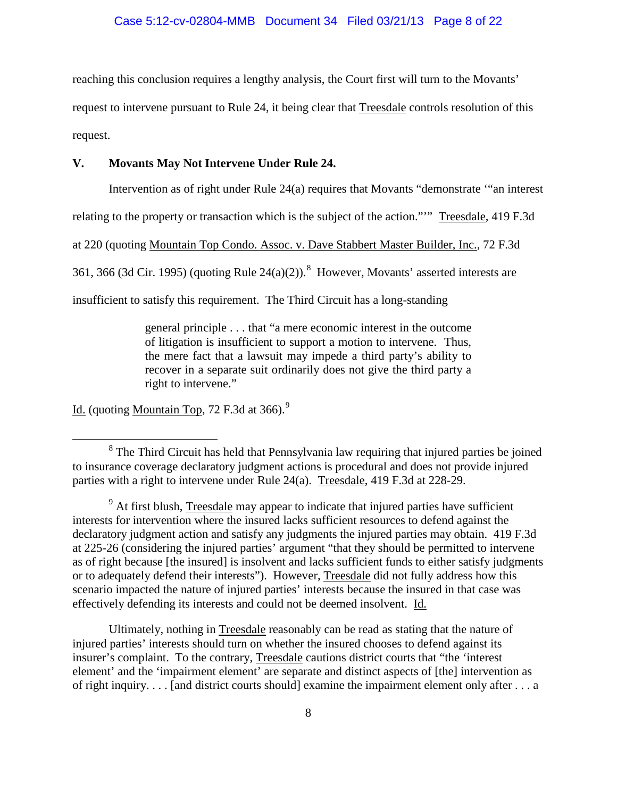reaching this conclusion requires a lengthy analysis, the Court first will turn to the Movants'

request to intervene pursuant to Rule 24, it being clear that Treesdale controls resolution of this request.

### **V. Movants May Not Intervene Under Rule 24.**

Intervention as of right under Rule 24(a) requires that Movants "demonstrate '"an interest

relating to the property or transaction which is the subject of the action."'" Treesdale, 419 F.3d

at 220 (quoting Mountain Top Condo. Assoc. v. Dave Stabbert Master Builder, Inc., 72 F.3d

361, 366 (3d Cir. 1995) (quoting Rule 24(a)(2)).<sup>[8](#page-7-0)</sup> However, Movants' asserted interests are

insufficient to satisfy this requirement. The Third Circuit has a long-standing

<span id="page-7-2"></span>general principle . . . that "a mere economic interest in the outcome of litigation is insufficient to support a motion to intervene. Thus, the mere fact that a lawsuit may impede a third party's ability to recover in a separate suit ordinarily does not give the third party a right to intervene."

Id. (quoting Mountain Top, 72 F.3d at 366).<sup>[9](#page-7-1)</sup>

Ultimately, nothing in Treesdale reasonably can be read as stating that the nature of injured parties' interests should turn on whether the insured chooses to defend against its insurer's complaint. To the contrary, Treesdale cautions district courts that "the 'interest element' and the 'impairment element' are separate and distinct aspects of [the] intervention as of right inquiry. . . . [and district courts should] examine the impairment element only after . . . a

<span id="page-7-0"></span><sup>&</sup>lt;sup>8</sup> The Third Circuit has held that Pennsylvania law requiring that injured parties be joined to insurance coverage declaratory judgment actions is procedural and does not provide injured parties with a right to intervene under Rule 24(a). Treesdale, 419 F.3d at 228-29.

<span id="page-7-1"></span> $9<sup>9</sup>$  At first blush, Treesdale may appear to indicate that injured parties have sufficient interests for intervention where the insured lacks sufficient resources to defend against the declaratory judgment action and satisfy any judgments the injured parties may obtain. 419 F.3d at 225-26 (considering the injured parties' argument "that they should be permitted to intervene as of right because [the insured] is insolvent and lacks sufficient funds to either satisfy judgments or to adequately defend their interests"). However, Treesdale did not fully address how this scenario impacted the nature of injured parties' interests because the insured in that case was effectively defending its interests and could not be deemed insolvent. Id.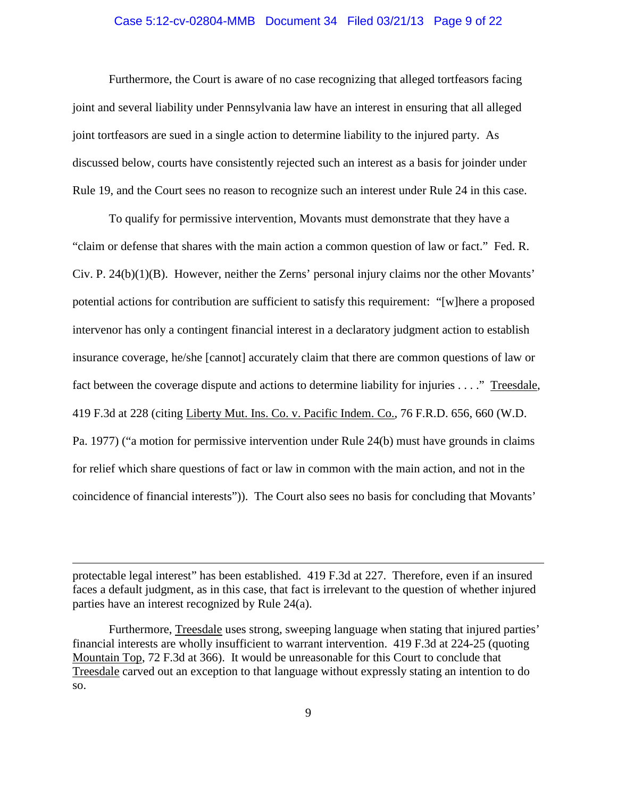#### Case 5:12-cv-02804-MMB Document 34 Filed 03/21/13 Page 9 of 22

Furthermore, the Court is aware of no case recognizing that alleged tortfeasors facing joint and several liability under Pennsylvania law have an interest in ensuring that all alleged joint tortfeasors are sued in a single action to determine liability to the injured party. As discussed below, courts have consistently rejected such an interest as a basis for joinder under Rule 19, and the Court sees no reason to recognize such an interest under Rule 24 in this case.

To qualify for permissive intervention, Movants must demonstrate that they have a "claim or defense that shares with the main action a common question of law or fact." Fed. R. Civ. P. 24(b)(1)(B). However, neither the Zerns' personal injury claims nor the other Movants' potential actions for contribution are sufficient to satisfy this requirement: "[w]here a proposed intervenor has only a contingent financial interest in a declaratory judgment action to establish insurance coverage, he/she [cannot] accurately claim that there are common questions of law or fact between the coverage dispute and actions to determine liability for injuries . . . ." Treesdale, 419 F.3d at 228 (citing Liberty Mut. Ins. Co. v. Pacific Indem. Co., 76 F.R.D. 656, 660 (W.D. Pa. 1977) ("a motion for permissive intervention under Rule 24(b) must have grounds in claims for relief which share questions of fact or law in common with the main action, and not in the coincidence of financial interests")). The Court also sees no basis for concluding that Movants'

protectable legal interest" has been established. 419 F.3d at 227. Therefore, even if an insured faces a default judgment, as in this case, that fact is irrelevant to the question of whether injured parties have an interest recognized by Rule 24(a).

 $\overline{a}$ 

Furthermore, Treesdale uses strong, sweeping language when stating that injured parties' financial interests are wholly insufficient to warrant intervention. 419 F.3d at 224-25 (quoting Mountain Top, 72 F.3d at 366). It would be unreasonable for this Court to conclude that Treesdale carved out an exception to that language without expressly stating an intention to do so.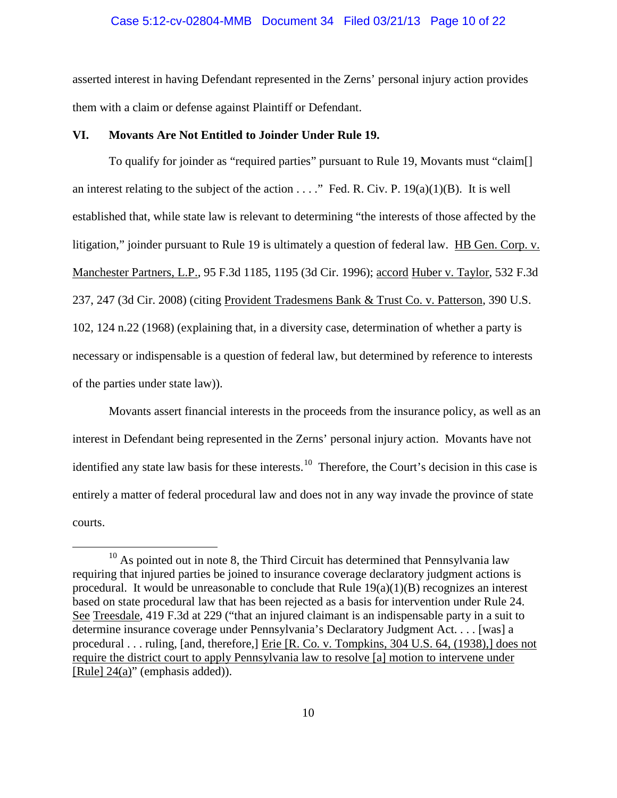#### Case 5:12-cv-02804-MMB Document 34 Filed 03/21/13 Page 10 of 22

asserted interest in having Defendant represented in the Zerns' personal injury action provides them with a claim or defense against Plaintiff or Defendant.

## **VI. Movants Are Not Entitled to Joinder Under Rule 19.**

To qualify for joinder as "required parties" pursuant to Rule 19, Movants must "claim[] an interest relating to the subject of the action  $\dots$ ." Fed. R. Civ. P. 19(a)(1)(B). It is well established that, while state law is relevant to determining "the interests of those affected by the litigation," joinder pursuant to Rule 19 is ultimately a question of federal law. HB Gen. Corp. v. Manchester Partners, L.P., 95 F.3d 1185, 1195 (3d Cir. 1996); accord Huber v. Taylor, 532 F.3d 237, 247 (3d Cir. 2008) (citing Provident Tradesmens Bank & Trust Co. v. Patterson, 390 U.S. 102, 124 n.22 (1968) (explaining that, in a diversity case, determination of whether a party is necessary or indispensable is a question of federal law, but determined by reference to interests of the parties under state law)).

Movants assert financial interests in the proceeds from the insurance policy, as well as an interest in Defendant being represented in the Zerns' personal injury action. Movants have not identified any state law basis for these interests.<sup>[10](#page-9-0)</sup> Therefore, the Court's decision in this case is entirely a matter of federal procedural law and does not in any way invade the province of state courts.

<span id="page-9-0"></span> $10$  As pointed out in note [8,](#page-7-2) the Third Circuit has determined that Pennsylvania law requiring that injured parties be joined to insurance coverage declaratory judgment actions is procedural. It would be unreasonable to conclude that Rule  $19(a)(1)(B)$  recognizes an interest based on state procedural law that has been rejected as a basis for intervention under Rule 24. See Treesdale, 419 F.3d at 229 ("that an injured claimant is an indispensable party in a suit to determine insurance coverage under Pennsylvania's Declaratory Judgment Act. . . . [was] a procedural . . . ruling, [and, therefore,] Erie [R. Co. v. Tompkins, 304 U.S. 64, (1938),] does not require the district court to apply Pennsylvania law to resolve [a] motion to intervene under [Rule] 24(a)" (emphasis added)).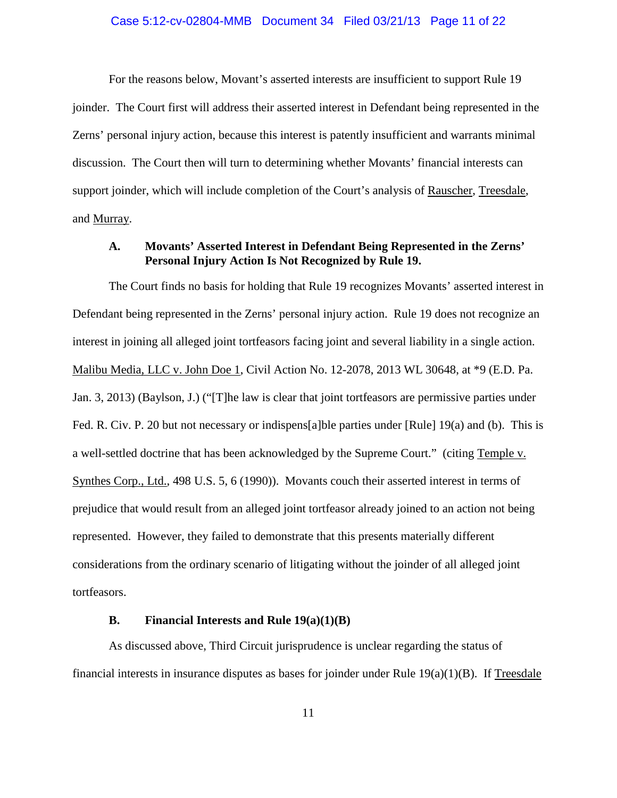#### Case 5:12-cv-02804-MMB Document 34 Filed 03/21/13 Page 11 of 22

For the reasons below, Movant's asserted interests are insufficient to support Rule 19 joinder. The Court first will address their asserted interest in Defendant being represented in the Zerns' personal injury action, because this interest is patently insufficient and warrants minimal discussion. The Court then will turn to determining whether Movants' financial interests can support joinder, which will include completion of the Court's analysis of Rauscher, Treesdale, and Murray.

# **A. Movants' Asserted Interest in Defendant Being Represented in the Zerns' Personal Injury Action Is Not Recognized by Rule 19.**

The Court finds no basis for holding that Rule 19 recognizes Movants' asserted interest in Defendant being represented in the Zerns' personal injury action. Rule 19 does not recognize an interest in joining all alleged joint tortfeasors facing joint and several liability in a single action. Malibu Media, LLC v. John Doe 1, Civil Action No. 12-2078, 2013 WL 30648, at \*9 (E.D. Pa. Jan. 3, 2013) (Baylson, J.) ("[T]he law is clear that joint tortfeasors are permissive parties under Fed. R. Civ. P. 20 but not necessary or indispens[a]ble parties under [Rule] 19(a) and (b). This is a well-settled doctrine that has been acknowledged by the Supreme Court." (citing Temple v. Synthes Corp., Ltd., 498 U.S. 5, 6 (1990)). Movants couch their asserted interest in terms of prejudice that would result from an alleged joint tortfeasor already joined to an action not being represented. However, they failed to demonstrate that this presents materially different considerations from the ordinary scenario of litigating without the joinder of all alleged joint tortfeasors.

## **B. Financial Interests and Rule 19(a)(1)(B)**

As discussed above, Third Circuit jurisprudence is unclear regarding the status of financial interests in insurance disputes as bases for joinder under Rule  $19(a)(1)(B)$ . If Treesdale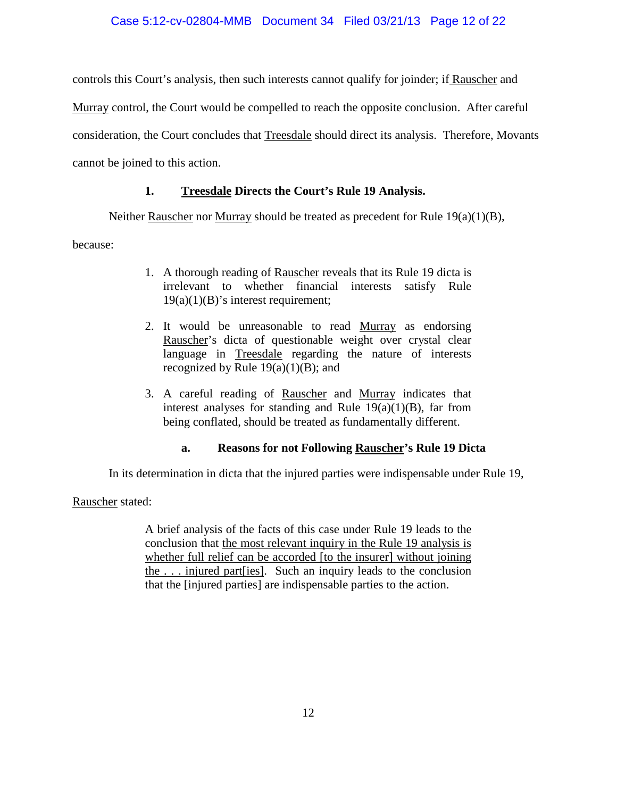# Case 5:12-cv-02804-MMB Document 34 Filed 03/21/13 Page 12 of 22

controls this Court's analysis, then such interests cannot qualify for joinder; if Rauscher and

Murray control, the Court would be compelled to reach the opposite conclusion. After careful

consideration, the Court concludes that Treesdale should direct its analysis. Therefore, Movants

cannot be joined to this action.

# **1. Treesdale Directs the Court's Rule 19 Analysis.**

Neither Rauscher nor Murray should be treated as precedent for Rule 19(a)(1)(B),

because:

- 1. A thorough reading of Rauscher reveals that its Rule 19 dicta is irrelevant to whether financial interests satisfy Rule  $19(a)(1)(B)$ 's interest requirement;
- 2. It would be unreasonable to read Murray as endorsing Rauscher's dicta of questionable weight over crystal clear language in Treesdale regarding the nature of interests recognized by Rule  $19(a)(1)(B)$ ; and
- 3. A careful reading of Rauscher and Murray indicates that interest analyses for standing and Rule  $19(a)(1)(B)$ , far from being conflated, should be treated as fundamentally different.

# **a. Reasons for not Following Rauscher's Rule 19 Dicta**

In its determination in dicta that the injured parties were indispensable under Rule 19,

Rauscher stated:

A brief analysis of the facts of this case under Rule 19 leads to the conclusion that the most relevant inquiry in the Rule 19 analysis is whether full relief can be accorded [to the insurer] without joining the . . . injured part[ies]. Such an inquiry leads to the conclusion that the [injured parties] are indispensable parties to the action.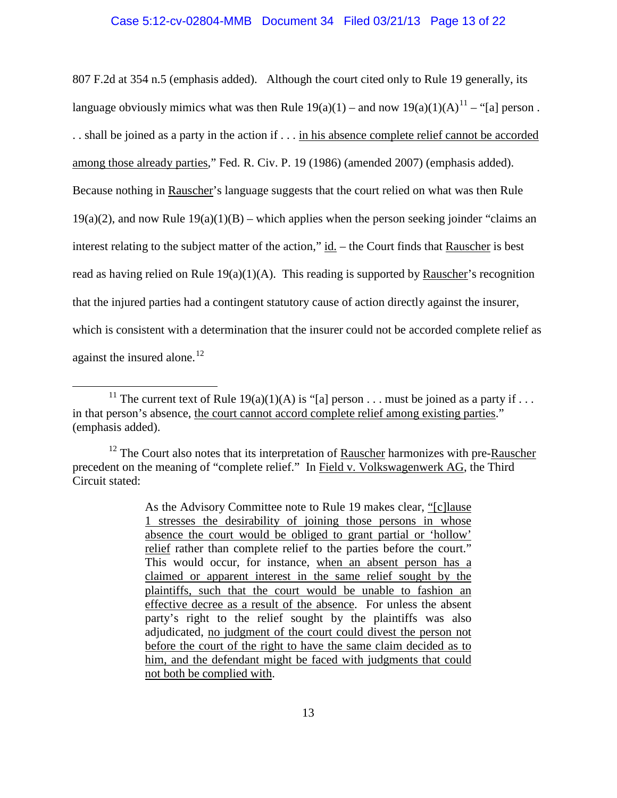#### Case 5:12-cv-02804-MMB Document 34 Filed 03/21/13 Page 13 of 22

807 F.2d at 354 n.5 (emphasis added). Although the court cited only to Rule 19 generally, its language obviously mimics what was then Rule  $19(a)(1)$  – and now  $19(a)(1)(A)^{11}$  $19(a)(1)(A)^{11}$  $19(a)(1)(A)^{11}$  – "[a] person. . . shall be joined as a party in the action if . . . in his absence complete relief cannot be accorded among those already parties," Fed. R. Civ. P. 19 (1986) (amended 2007) (emphasis added). Because nothing in Rauscher's language suggests that the court relied on what was then Rule  $19(a)(2)$ , and now Rule  $19(a)(1)(B)$  – which applies when the person seeking joinder "claims an interest relating to the subject matter of the action," id. – the Court finds that Rauscher is best read as having relied on Rule  $19(a)(1)(A)$ . This reading is supported by Rauscher's recognition that the injured parties had a contingent statutory cause of action directly against the insurer, which is consistent with a determination that the insurer could not be accorded complete relief as against the insured alone.<sup>[12](#page-12-1)</sup>

<span id="page-12-0"></span><sup>&</sup>lt;sup>11</sup> The current text of Rule 19(a)(1)(A) is "[a] person . . . must be joined as a party if . . . in that person's absence, the court cannot accord complete relief among existing parties." (emphasis added).

<span id="page-12-1"></span> $12$  The Court also notes that its interpretation of **Rauscher** harmonizes with pre-Rauscher precedent on the meaning of "complete relief." In Field v. Volkswagenwerk AG, the Third Circuit stated:

As the Advisory Committee note to Rule 19 makes clear, "[c]lause 1 stresses the desirability of joining those persons in whose absence the court would be obliged to grant partial or 'hollow' relief rather than complete relief to the parties before the court." This would occur, for instance, when an absent person has a claimed or apparent interest in the same relief sought by the plaintiffs, such that the court would be unable to fashion an effective decree as a result of the absence. For unless the absent party's right to the relief sought by the plaintiffs was also adjudicated, no judgment of the court could divest the person not before the court of the right to have the same claim decided as to him, and the defendant might be faced with judgments that could not both be complied with.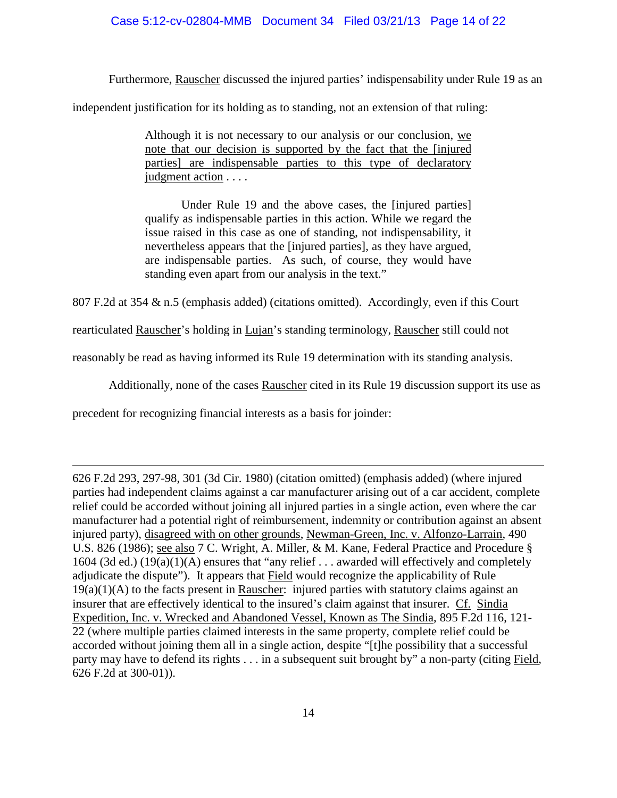# Case 5:12-cv-02804-MMB Document 34 Filed 03/21/13 Page 14 of 22

Furthermore, Rauscher discussed the injured parties' indispensability under Rule 19 as an

independent justification for its holding as to standing, not an extension of that ruling:

Although it is not necessary to our analysis or our conclusion, we note that our decision is supported by the fact that the [injured parties] are indispensable parties to this type of declaratory judgment action . . . .

Under Rule 19 and the above cases, the [injured parties] qualify as indispensable parties in this action. While we regard the issue raised in this case as one of standing, not indispensability, it nevertheless appears that the [injured parties], as they have argued, are indispensable parties. As such, of course, they would have standing even apart from our analysis in the text."

807 F.2d at 354 & n.5 (emphasis added) (citations omitted). Accordingly, even if this Court

rearticulated Rauscher's holding in Lujan's standing terminology, Rauscher still could not

reasonably be read as having informed its Rule 19 determination with its standing analysis.

Additionally, none of the cases Rauscher cited in its Rule 19 discussion support its use as

precedent for recognizing financial interests as a basis for joinder:

 $\overline{a}$ 

626 F.2d 293, 297-98, 301 (3d Cir. 1980) (citation omitted) (emphasis added) (where injured parties had independent claims against a car manufacturer arising out of a car accident, complete relief could be accorded without joining all injured parties in a single action, even where the car manufacturer had a potential right of reimbursement, indemnity or contribution against an absent injured party), disagreed with on other grounds, Newman-Green, Inc. v. Alfonzo-Larrain, 490 U.S. 826 (1986); see also 7 C. Wright, A. Miller, & M. Kane, Federal Practice and Procedure § 1604 (3d ed.) (19(a)(1)(A) ensures that "any relief . . . awarded will effectively and completely adjudicate the dispute"). It appears that Field would recognize the applicability of Rule  $19(a)(1)(A)$  to the facts present in Rauscher: injured parties with statutory claims against an insurer that are effectively identical to the insured's claim against that insurer. Cf. Sindia Expedition, Inc. v. Wrecked and Abandoned Vessel, Known as The Sindia, 895 F.2d 116, 121- 22 (where multiple parties claimed interests in the same property, complete relief could be accorded without joining them all in a single action, despite "[t]he possibility that a successful party may have to defend its rights . . . in a subsequent suit brought by" a non-party (citing Field, 626 F.2d at 300-01)).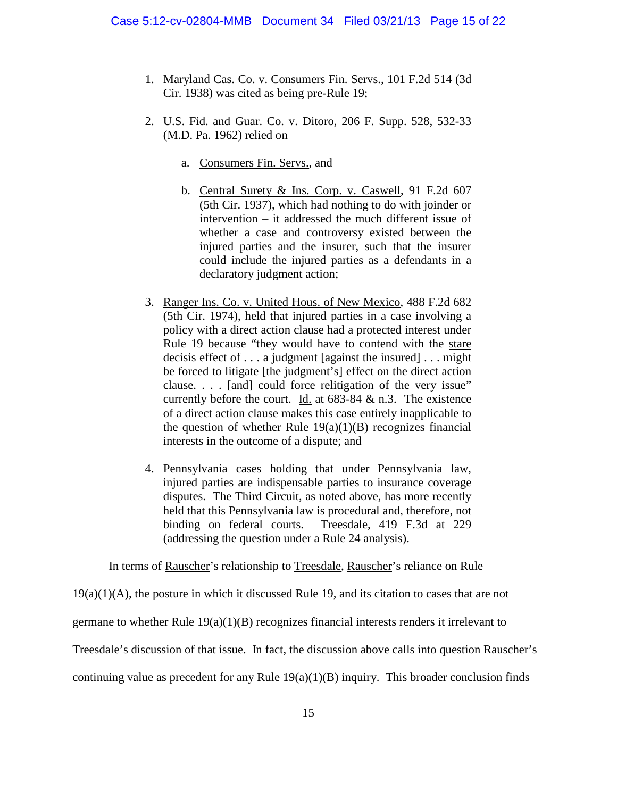- 1. Maryland Cas. Co. v. Consumers Fin. Servs., 101 F.2d 514 (3d Cir. 1938) was cited as being pre-Rule 19;
- 2. U.S. Fid. and Guar. Co. v. Ditoro, 206 F. Supp. 528, 532-33 (M.D. Pa. 1962) relied on
	- a. Consumers Fin. Servs., and
	- b. Central Surety & Ins. Corp. v. Caswell, 91 F.2d 607 (5th Cir. 1937), which had nothing to do with joinder or intervention – it addressed the much different issue of whether a case and controversy existed between the injured parties and the insurer, such that the insurer could include the injured parties as a defendants in a declaratory judgment action;
- 3. Ranger Ins. Co. v. United Hous. of New Mexico, 488 F.2d 682 (5th Cir. 1974), held that injured parties in a case involving a policy with a direct action clause had a protected interest under Rule 19 because "they would have to contend with the stare decisis effect of . . . a judgment [against the insured] . . . might be forced to litigate [the judgment's] effect on the direct action clause. . . . [and] could force relitigation of the very issue" currently before the court. Id. at  $683-84 \& n.3$ . The existence of a direct action clause makes this case entirely inapplicable to the question of whether Rule  $19(a)(1)(B)$  recognizes financial interests in the outcome of a dispute; and
- 4. Pennsylvania cases holding that under Pennsylvania law, injured parties are indispensable parties to insurance coverage disputes. The Third Circuit, as noted above, has more recently held that this Pennsylvania law is procedural and, therefore, not binding on federal courts. Treesdale, 419 F.3d at 229 (addressing the question under a Rule 24 analysis).

In terms of Rauscher's relationship to Treesdale, Rauscher's reliance on Rule

 $19(a)(1)(A)$ , the posture in which it discussed Rule 19, and its citation to cases that are not

germane to whether Rule 19(a)(1)(B) recognizes financial interests renders it irrelevant to

Treesdale's discussion of that issue. In fact, the discussion above calls into question Rauscher's

continuing value as precedent for any Rule  $19(a)(1)(B)$  inquiry. This broader conclusion finds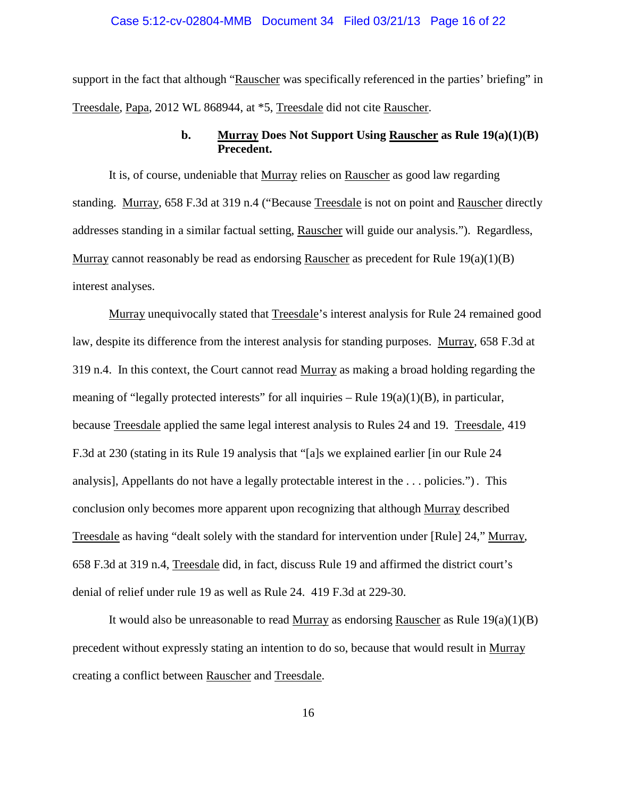#### Case 5:12-cv-02804-MMB Document 34 Filed 03/21/13 Page 16 of 22

support in the fact that although "Rauscher was specifically referenced in the parties' briefing" in Treesdale, Papa, 2012 WL 868944, at \*5, Treesdale did not cite Rauscher.

# **b. Murray Does Not Support Using Rauscher as Rule 19(a)(1)(B) Precedent.**

It is, of course, undeniable that Murray relies on Rauscher as good law regarding standing. Murray, 658 F.3d at 319 n.4 ("Because Treesdale is not on point and Rauscher directly addresses standing in a similar factual setting, Rauscher will guide our analysis."). Regardless, Murray cannot reasonably be read as endorsing Rauscher as precedent for Rule 19(a)(1)(B) interest analyses.

Murray unequivocally stated that Treesdale's interest analysis for Rule 24 remained good law, despite its difference from the interest analysis for standing purposes. Murray, 658 F.3d at 319 n.4. In this context, the Court cannot read Murray as making a broad holding regarding the meaning of "legally protected interests" for all inquiries – Rule  $19(a)(1)(B)$ , in particular, because Treesdale applied the same legal interest analysis to Rules 24 and 19. Treesdale, 419 F.3d at 230 (stating in its Rule 19 analysis that "[a]s we explained earlier [in our Rule 24 analysis], Appellants do not have a legally protectable interest in the . . . policies.") . This conclusion only becomes more apparent upon recognizing that although Murray described Treesdale as having "dealt solely with the standard for intervention under [Rule] 24," Murray, 658 F.3d at 319 n.4, Treesdale did, in fact, discuss Rule 19 and affirmed the district court's denial of relief under rule 19 as well as Rule 24. 419 F.3d at 229-30.

It would also be unreasonable to read Murray as endorsing Rauscher as Rule  $19(a)(1)(B)$ precedent without expressly stating an intention to do so, because that would result in Murray creating a conflict between Rauscher and Treesdale.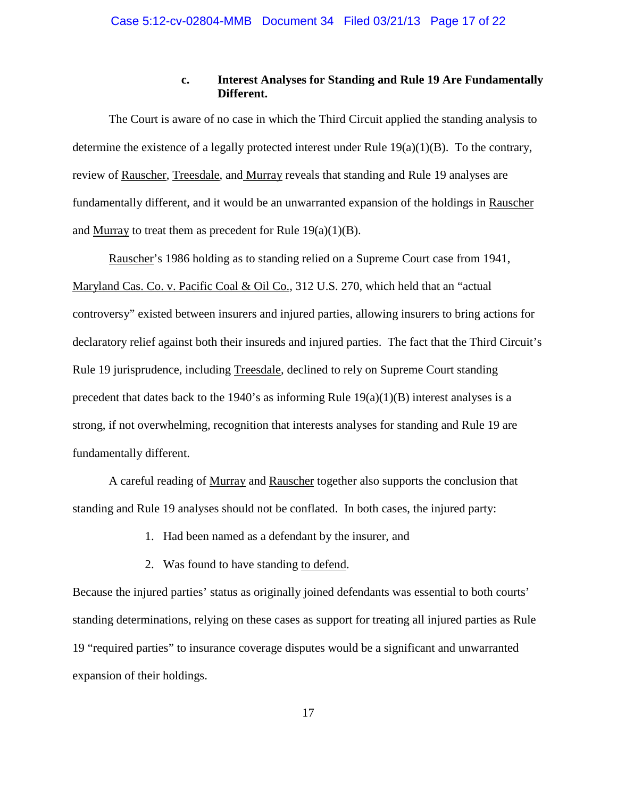## **c. Interest Analyses for Standing and Rule 19 Are Fundamentally Different.**

The Court is aware of no case in which the Third Circuit applied the standing analysis to determine the existence of a legally protected interest under Rule  $19(a)(1)(B)$ . To the contrary, review of Rauscher, Treesdale, and Murray reveals that standing and Rule 19 analyses are fundamentally different, and it would be an unwarranted expansion of the holdings in Rauscher and Murray to treat them as precedent for Rule  $19(a)(1)(B)$ .

Rauscher's 1986 holding as to standing relied on a Supreme Court case from 1941, Maryland Cas. Co. v. Pacific Coal & Oil Co., 312 U.S. 270, which held that an "actual controversy" existed between insurers and injured parties, allowing insurers to bring actions for declaratory relief against both their insureds and injured parties. The fact that the Third Circuit's Rule 19 jurisprudence, including Treesdale, declined to rely on Supreme Court standing precedent that dates back to the 1940's as informing Rule  $19(a)(1)(B)$  interest analyses is a strong, if not overwhelming, recognition that interests analyses for standing and Rule 19 are fundamentally different.

A careful reading of Murray and Rauscher together also supports the conclusion that standing and Rule 19 analyses should not be conflated. In both cases, the injured party:

- 1. Had been named as a defendant by the insurer, and
- 2. Was found to have standing to defend.

Because the injured parties' status as originally joined defendants was essential to both courts' standing determinations, relying on these cases as support for treating all injured parties as Rule 19 "required parties" to insurance coverage disputes would be a significant and unwarranted expansion of their holdings.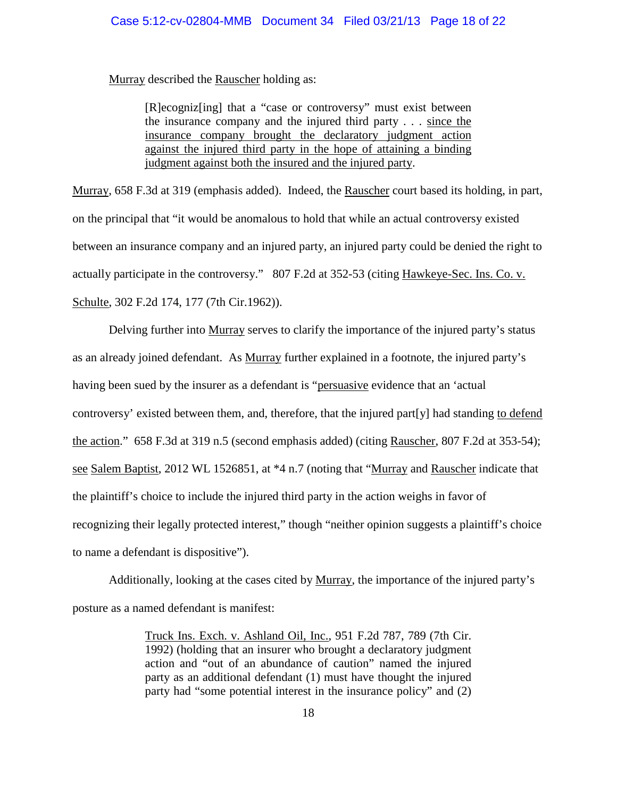Murray described the Rauscher holding as:

[R]ecogniz[ing] that a "case or controversy" must exist between the insurance company and the injured third party . . . since the insurance company brought the declaratory judgment action against the injured third party in the hope of attaining a binding judgment against both the insured and the injured party.

Murray, 658 F.3d at 319 (emphasis added). Indeed, the Rauscher court based its holding, in part, on the principal that "it would be anomalous to hold that while an actual controversy existed between an insurance company and an injured party, an injured party could be denied the right to actually participate in the controversy." 807 F.2d at 352-53 (citing Hawkeye-Sec. Ins. Co. v. Schulte, 302 F.2d 174, 177 (7th Cir.1962)).

Delving further into Murray serves to clarify the importance of the injured party's status as an already joined defendant. As Murray further explained in a footnote, the injured party's having been sued by the insurer as a defendant is "persuasive evidence that an 'actual controversy' existed between them, and, therefore, that the injured part[y] had standing to defend the action." 658 F.3d at 319 n.5 (second emphasis added) (citing Rauscher, 807 F.2d at 353-54); see Salem Baptist, 2012 WL 1526851, at \*4 n.7 (noting that "Murray and Rauscher indicate that the plaintiff's choice to include the injured third party in the action weighs in favor of recognizing their legally protected interest," though "neither opinion suggests a plaintiff's choice to name a defendant is dispositive").

Additionally, looking at the cases cited by Murray, the importance of the injured party's posture as a named defendant is manifest:

> Truck Ins. Exch. v. Ashland Oil, Inc., 951 F.2d 787, 789 (7th Cir. 1992) (holding that an insurer who brought a declaratory judgment action and "out of an abundance of caution" named the injured party as an additional defendant (1) must have thought the injured party had "some potential interest in the insurance policy" and (2)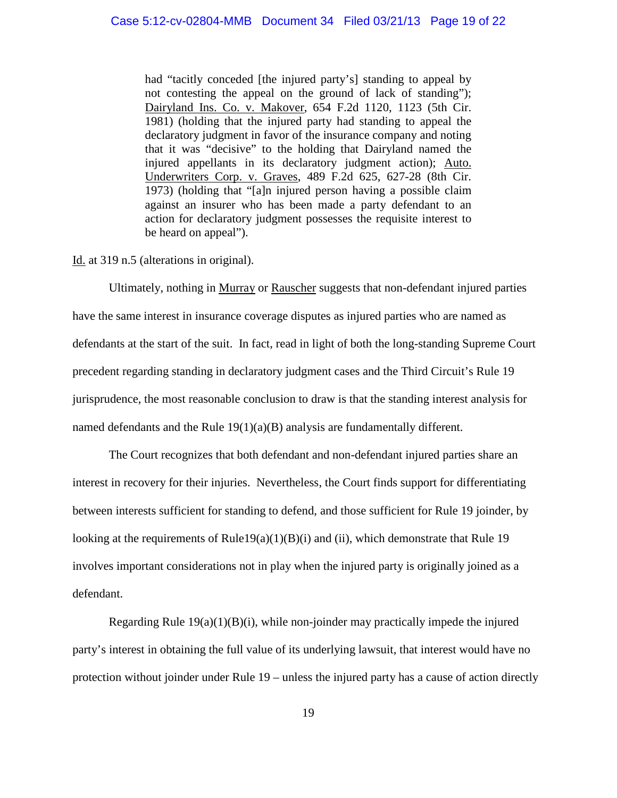had "tacitly conceded [the injured party's] standing to appeal by not contesting the appeal on the ground of lack of standing"); Dairyland Ins. Co. v. Makover, 654 F.2d 1120, 1123 (5th Cir. 1981) (holding that the injured party had standing to appeal the declaratory judgment in favor of the insurance company and noting that it was "decisive" to the holding that Dairyland named the injured appellants in its declaratory judgment action); Auto. Underwriters Corp. v. Graves, 489 F.2d 625, 627-28 (8th Cir. 1973) (holding that "[a]n injured person having a possible claim against an insurer who has been made a party defendant to an action for declaratory judgment possesses the requisite interest to be heard on appeal").

Id. at 319 n.5 (alterations in original).

Ultimately, nothing in Murray or Rauscher suggests that non-defendant injured parties have the same interest in insurance coverage disputes as injured parties who are named as defendants at the start of the suit. In fact, read in light of both the long-standing Supreme Court precedent regarding standing in declaratory judgment cases and the Third Circuit's Rule 19 jurisprudence, the most reasonable conclusion to draw is that the standing interest analysis for named defendants and the Rule  $19(1)(a)(B)$  analysis are fundamentally different.

The Court recognizes that both defendant and non-defendant injured parties share an interest in recovery for their injuries. Nevertheless, the Court finds support for differentiating between interests sufficient for standing to defend, and those sufficient for Rule 19 joinder, by looking at the requirements of Rule19(a)(1)(B)(i) and (ii), which demonstrate that Rule 19 involves important considerations not in play when the injured party is originally joined as a defendant.

Regarding Rule  $19(a)(1)(B)(i)$ , while non-joinder may practically impede the injured party's interest in obtaining the full value of its underlying lawsuit, that interest would have no protection without joinder under Rule 19 – unless the injured party has a cause of action directly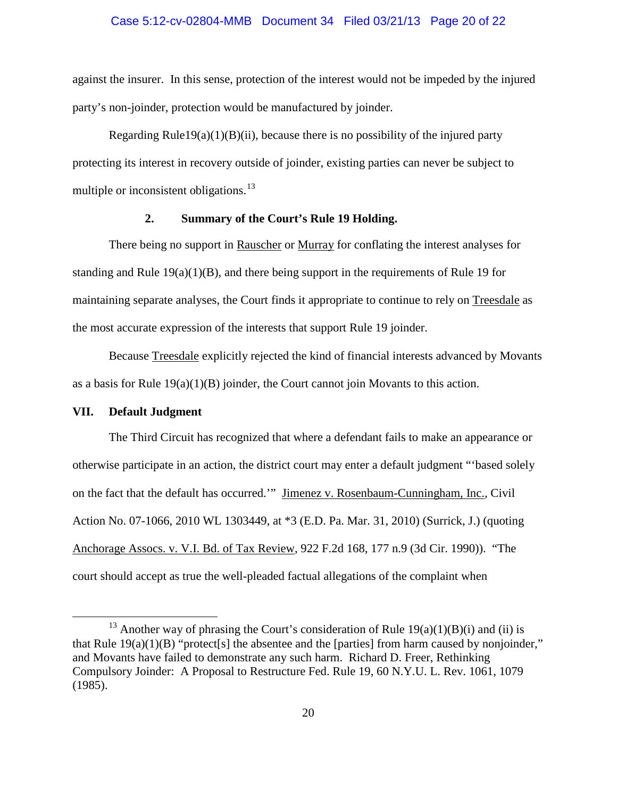#### Case 5:12-cv-02804-MMB Document 34 Filed 03/21/13 Page 20 of 22

against the insurer. In this sense, protection of the interest would not be impeded by the injured party's non-joinder, protection would be manufactured by joinder.

Regarding Rule19(a)(1)(B)(ii), because there is no possibility of the injured party protecting its interest in recovery outside of joinder, existing parties can never be subject to multiple or inconsistent obligations.<sup>[13](#page-19-0)</sup>

# **2. Summary of the Court's Rule 19 Holding.**

There being no support in Rauscher or Murray for conflating the interest analyses for standing and Rule  $19(a)(1)(B)$ , and there being support in the requirements of Rule 19 for maintaining separate analyses, the Court finds it appropriate to continue to rely on Treesdale as the most accurate expression of the interests that support Rule 19 joinder.

Because Treesdale explicitly rejected the kind of financial interests advanced by Movants as a basis for Rule 19(a)(1)(B) joinder, the Court cannot join Movants to this action.

## **VII. Default Judgment**

The Third Circuit has recognized that where a defendant fails to make an appearance or otherwise participate in an action, the district court may enter a default judgment "'based solely on the fact that the default has occurred.'" Jimenez v. Rosenbaum-Cunningham, Inc., Civil Action No. 07-1066, 2010 WL 1303449, at \*3 (E.D. Pa. Mar. 31, 2010) (Surrick, J.) (quoting Anchorage Assocs. v. V.I. Bd. of Tax Review, 922 F.2d 168, 177 n.9 (3d Cir. 1990)). "The court should accept as true the well-pleaded factual allegations of the complaint when

<span id="page-19-0"></span><sup>&</sup>lt;sup>13</sup> Another way of phrasing the Court's consideration of Rule  $19(a)(1)(B)(i)$  and (ii) is that Rule  $19(a)(1)(B)$  "protect[s] the absentee and the [parties] from harm caused by nonjoinder," and Movants have failed to demonstrate any such harm. Richard D. Freer, Rethinking Compulsory Joinder: A Proposal to Restructure Fed. Rule 19, 60 N.Y.U. L. Rev. 1061, 1079 (1985).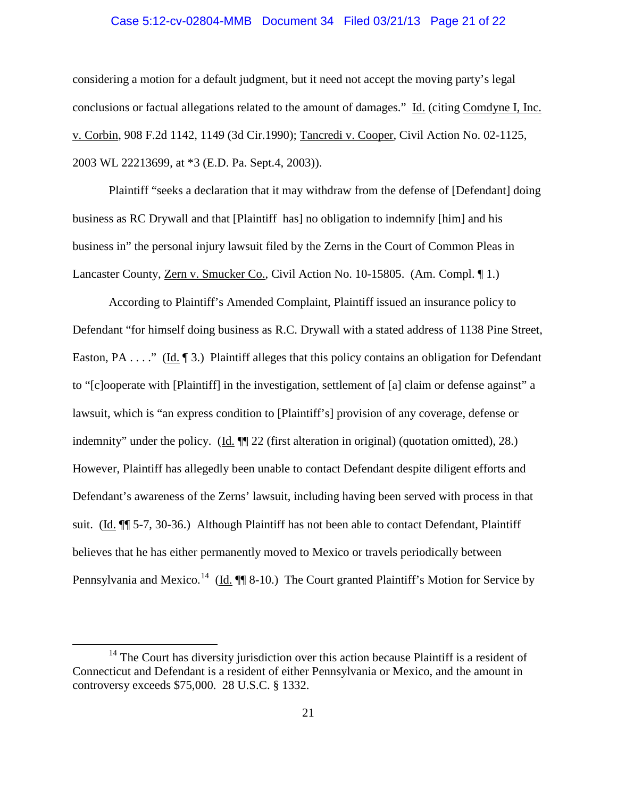#### Case 5:12-cv-02804-MMB Document 34 Filed 03/21/13 Page 21 of 22

considering a motion for a default judgment, but it need not accept the moving party's legal conclusions or factual allegations related to the amount of damages." Id. (citing Comdyne I, Inc. v. Corbin, 908 F.2d 1142, 1149 (3d Cir.1990); Tancredi v. Cooper, Civil Action No. 02-1125, 2003 WL 22213699, at \*3 (E.D. Pa. Sept.4, 2003)).

Plaintiff "seeks a declaration that it may withdraw from the defense of [Defendant] doing business as RC Drywall and that [Plaintiff has] no obligation to indemnify [him] and his business in" the personal injury lawsuit filed by the Zerns in the Court of Common Pleas in Lancaster County, Zern v. Smucker Co., Civil Action No. 10-15805. (Am. Compl. ¶ 1.)

According to Plaintiff's Amended Complaint, Plaintiff issued an insurance policy to Defendant "for himself doing business as R.C. Drywall with a stated address of 1138 Pine Street, Easton, PA . . . ." (Id. ¶ 3.) Plaintiff alleges that this policy contains an obligation for Defendant to "[c]ooperate with [Plaintiff] in the investigation, settlement of [a] claim or defense against" a lawsuit, which is "an express condition to [Plaintiff's] provision of any coverage, defense or indemnity" under the policy. (Id. ¶¶ 22 (first alteration in original) (quotation omitted), 28.) However, Plaintiff has allegedly been unable to contact Defendant despite diligent efforts and Defendant's awareness of the Zerns' lawsuit, including having been served with process in that suit. (Id. ¶¶ 5-7, 30-36.) Although Plaintiff has not been able to contact Defendant, Plaintiff believes that he has either permanently moved to Mexico or travels periodically between Pennsylvania and Mexico.<sup>14</sup> (Id.  $\P$  8-10.) The Court granted Plaintiff's Motion for Service by

<span id="page-20-0"></span><sup>&</sup>lt;sup>14</sup> The Court has diversity jurisdiction over this action because Plaintiff is a resident of Connecticut and Defendant is a resident of either Pennsylvania or Mexico, and the amount in controversy exceeds \$75,000. 28 U.S.C. § 1332.